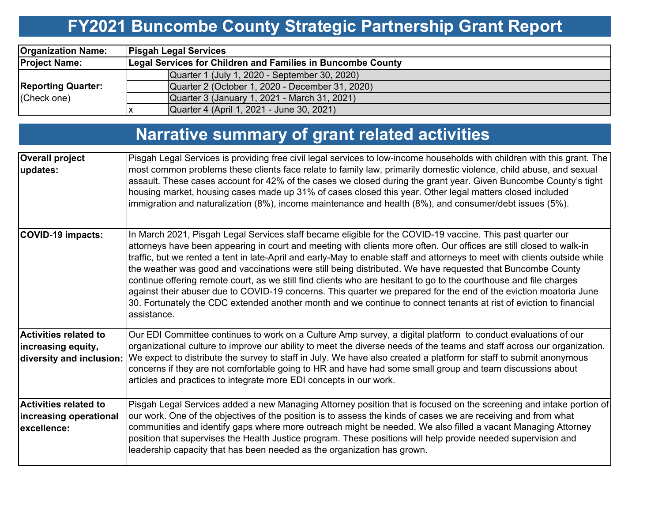## **FY2021 Buncombe County Strategic Partnership Grant Report**

| <b>Organization Name:</b>                | <b>Pisgah Legal Services</b>                                |  |  |  |  |  |  |
|------------------------------------------|-------------------------------------------------------------|--|--|--|--|--|--|
| <b>Project Name:</b>                     | Legal Services for Children and Families in Buncombe County |  |  |  |  |  |  |
|                                          | Quarter 1 (July 1, 2020 - September 30, 2020)               |  |  |  |  |  |  |
| <b>Reporting Quarter:</b><br>(Check one) | Quarter 2 (October 1, 2020 - December 31, 2020)             |  |  |  |  |  |  |
|                                          | Quarter 3 (January 1, 2021 - March 31, 2021)                |  |  |  |  |  |  |
|                                          | Quarter 4 (April 1, 2021 - June 30, 2021)                   |  |  |  |  |  |  |

## **Narrative summary of grant related activities**

| <b>Overall project</b>                                                         | Pisgah Legal Services is providing free civil legal services to low-income households with children with this grant. The                                                                                                                                                                                                                                                                                                                                                                                                                                                                                                                                                                                                                                                                                                                                      |
|--------------------------------------------------------------------------------|---------------------------------------------------------------------------------------------------------------------------------------------------------------------------------------------------------------------------------------------------------------------------------------------------------------------------------------------------------------------------------------------------------------------------------------------------------------------------------------------------------------------------------------------------------------------------------------------------------------------------------------------------------------------------------------------------------------------------------------------------------------------------------------------------------------------------------------------------------------|
| updates:                                                                       | most common problems these clients face relate to family law, primarily domestic violence, child abuse, and sexual<br>assault. These cases account for 42% of the cases we closed during the grant year. Given Buncombe County's tight<br>housing market, housing cases made up 31% of cases closed this year. Other legal matters closed included<br>immigration and naturalization (8%), income maintenance and health (8%), and consumer/debt issues (5%).                                                                                                                                                                                                                                                                                                                                                                                                 |
| <b>COVID-19 impacts:</b>                                                       | In March 2021, Pisgah Legal Services staff became eligible for the COVID-19 vaccine. This past quarter our<br>attorneys have been appearing in court and meeting with clients more often. Our offices are still closed to walk-in<br>traffic, but we rented a tent in late-April and early-May to enable staff and attorneys to meet with clients outside while<br>the weather was good and vaccinations were still being distributed. We have requested that Buncombe County<br>continue offering remote court, as we still find clients who are hesitant to go to the courthouse and file charges<br>against their abuser due to COVID-19 concerns. This quarter we prepared for the end of the eviction moatoria June<br>30. Fortunately the CDC extended another month and we continue to connect tenants at rist of eviction to financial<br>assistance. |
| <b>Activities related to</b><br>increasing equity,<br>diversity and inclusion: | Our EDI Committee continues to work on a Culture Amp survey, a digital platform to conduct evaluations of our<br>organizational culture to improve our ability to meet the diverse needs of the teams and staff across our organization.<br>We expect to distribute the survey to staff in July. We have also created a platform for staff to submit anonymous<br>concerns if they are not comfortable going to HR and have had some small group and team discussions about<br>articles and practices to integrate more EDI concepts in our work.                                                                                                                                                                                                                                                                                                             |
| <b>Activities related to</b><br>increasing operational<br>lexcellence:         | Pisgah Legal Services added a new Managing Attorney position that is focused on the screening and intake portion of<br>our work. One of the objectives of the position is to assess the kinds of cases we are receiving and from what<br>communities and identify gaps where more outreach might be needed. We also filled a vacant Managing Attorney<br>position that supervises the Health Justice program. These positions will help provide needed supervision and<br>leadership capacity that has been needed as the organization has grown.                                                                                                                                                                                                                                                                                                             |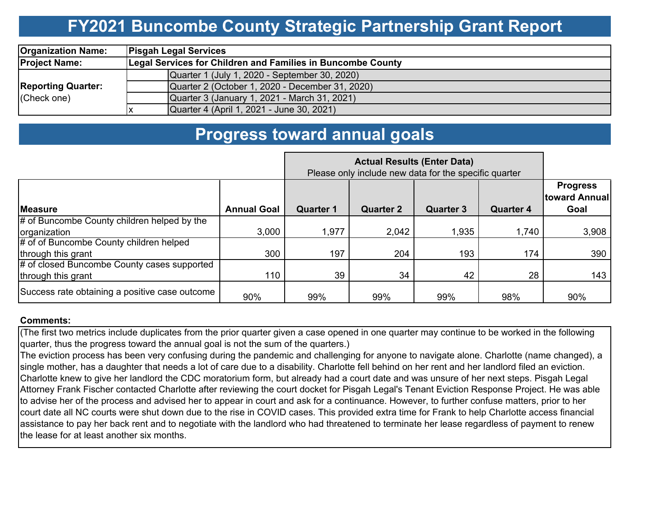## **FY2021 Buncombe County Strategic Partnership Grant Report**

| <b>Organization Name:</b>                | <b>Pisgah Legal Services</b>                                       |                                                 |  |  |  |  |  |
|------------------------------------------|--------------------------------------------------------------------|-------------------------------------------------|--|--|--|--|--|
| <b>Project Name:</b>                     | <b>Legal Services for Children and Families in Buncombe County</b> |                                                 |  |  |  |  |  |
| <b>Reporting Quarter:</b><br>(Check one) |                                                                    | Quarter 1 (July 1, 2020 - September 30, 2020)   |  |  |  |  |  |
|                                          |                                                                    | Quarter 2 (October 1, 2020 - December 31, 2020) |  |  |  |  |  |
|                                          |                                                                    | Quarter 3 (January 1, 2021 - March 31, 2021)    |  |  |  |  |  |
|                                          |                                                                    | Quarter 4 (April 1, 2021 - June 30, 2021)       |  |  |  |  |  |

### **Progress toward annual goals**

|                                                | Please only include new data for the specific quarter |                  |                  |                  |                  |                                          |
|------------------------------------------------|-------------------------------------------------------|------------------|------------------|------------------|------------------|------------------------------------------|
| <b>IMeasure</b>                                | <b>Annual Goal</b>                                    | <b>Quarter 1</b> | <b>Quarter 2</b> | <b>Quarter 3</b> | <b>Quarter 4</b> | <b>Progress</b><br>toward Annual<br>Goal |
| # of Buncombe County children helped by the    |                                                       |                  |                  |                  |                  |                                          |
| organization                                   | 3,000                                                 | 1,977            | 2,042            | 1,935            | 1,740            | 3,908                                    |
| # of of Buncombe County children helped        |                                                       |                  |                  |                  |                  |                                          |
| through this grant                             | 300                                                   | 197              | 204              | 193              | 174              | 390                                      |
| # of closed Buncombe County cases supported    |                                                       |                  |                  |                  |                  |                                          |
| through this grant                             | 110                                                   | 39               | 34               | 42               | 28               | 143                                      |
| Success rate obtaining a positive case outcome | 90%                                                   | 99%              | 99%              | 99%              | 98%              | 90%                                      |

#### **Comments:**

(The first two metrics include duplicates from the prior quarter given a case opened in one quarter may continue to be worked in the following quarter, thus the progress toward the annual goal is not the sum of the quarters.)

The eviction process has been very confusing during the pandemic and challenging for anyone to navigate alone. Charlotte (name changed), a single mother, has a daughter that needs a lot of care due to a disability. Charlotte fell behind on her rent and her landlord filed an eviction. Charlotte knew to give her landlord the CDC moratorium form, but already had a court date and was unsure of her next steps. Pisgah Legal Attorney Frank Fischer contacted Charlotte after reviewing the court docket for Pisgah Legal's Tenant Eviction Response Project. He was able to advise her of the process and advised her to appear in court and ask for a continuance. However, to further confuse matters, prior to her court date all NC courts were shut down due to the rise in COVID cases. This provided extra time for Frank to help Charlotte access financial assistance to pay her back rent and to negotiate with the landlord who had threatened to terminate her lease regardless of payment to renew the lease for at least another six months.